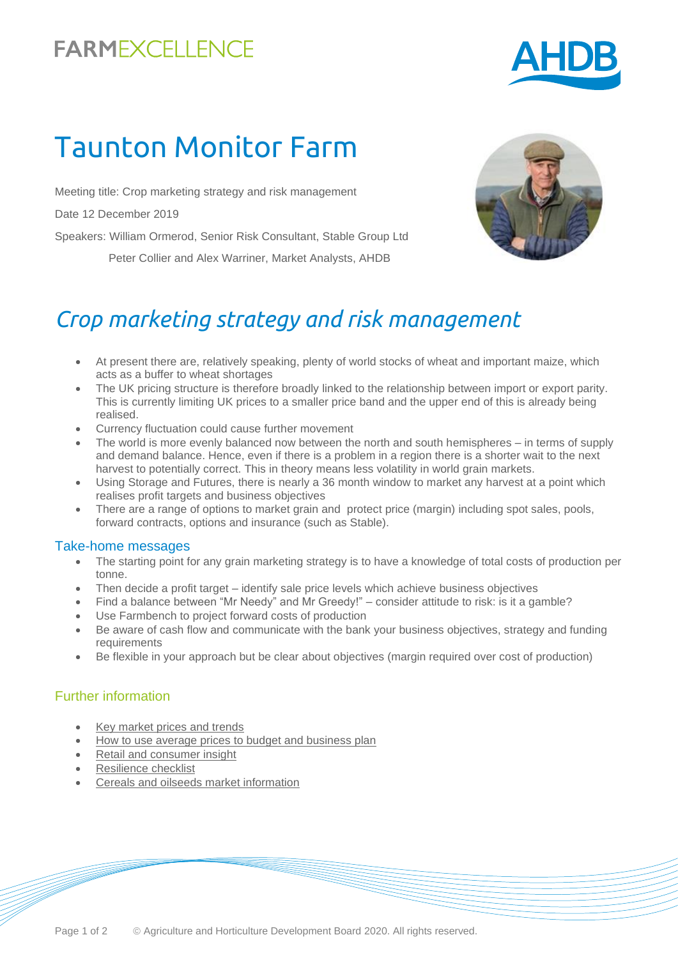# **FARMEXCELLENCE**



# Taunton Monitor Farm

Meeting title: Crop marketing strategy and risk management

Date 12 December 2019

Speakers: William Ormerod, Senior Risk Consultant, Stable Group Ltd

Peter Collier and Alex Warriner, Market Analysts, AHDB



### *Crop marketing strategy and risk management*

- At present there are, relatively speaking, plenty of world stocks of wheat and important maize, which acts as a buffer to wheat shortages
- The UK pricing structure is therefore broadly linked to the relationship between import or export parity. This is currently limiting UK prices to a smaller price band and the upper end of this is already being realised.
- Currency fluctuation could cause further movement
- The world is more evenly balanced now between the north and south hemispheres in terms of supply and demand balance. Hence, even if there is a problem in a region there is a shorter wait to the next harvest to potentially correct. This in theory means less volatility in world grain markets.
- Using Storage and Futures, there is nearly a 36 month window to market any harvest at a point which realises profit targets and business objectives
- There are a range of options to market grain and protect price (margin) including spot sales, pools, forward contracts, options and insurance (such as Stable).

#### Take-home messages

- The starting point for any grain marketing strategy is to have a knowledge of total costs of production per tonne.
- Then decide a profit target identify sale price levels which achieve business objectives
- Find a balance between "Mr Needy" and Mr Greedy!" consider attitude to risk: is it a gamble?
- Use Farmbench to project forward costs of production
- Be aware of cash flow and communicate with the bank your business objectives, strategy and funding requirements
- Be flexible in your approach but be clear about objectives (margin required over cost of production)

#### Further information

- [Key market prices and trends](https://ahdb.org.uk/markets-and-prices)
- [How to use average prices to budget and business plan](https://ahdb.org.uk/long-term-pricing)
- [Retail and consumer insight](https://ahdb.org.uk/retail-and-consumer-insight)
- [Resilience checklist](https://ahdb.org.uk/brexit-resilience-checklist)
- [Cereals and oilseeds market information](https://ahdb.org.uk/cereals-oilseeds-markets)